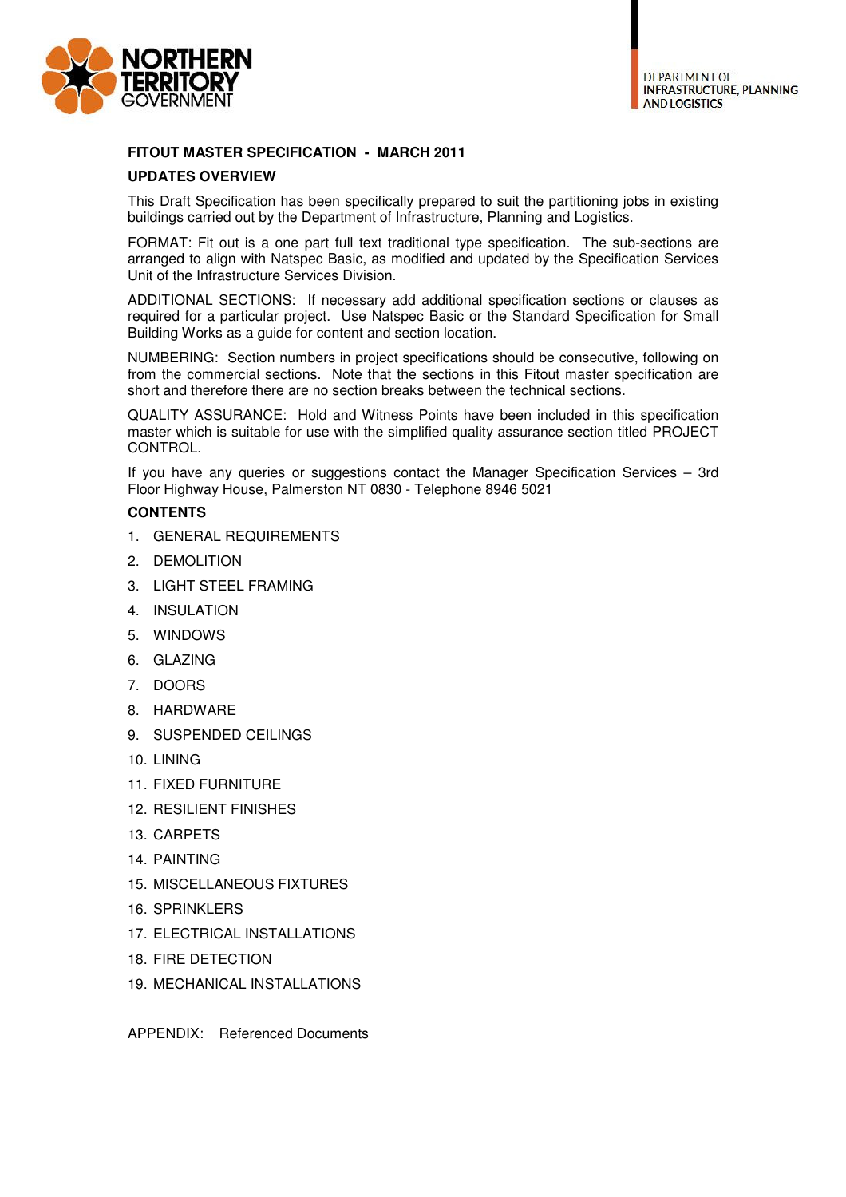

## **FITOUT MASTER SPECIFICATION - MARCH 2011**

## **UPDATES OVERVIEW**

This Draft Specification has been specifically prepared to suit the partitioning jobs in existing buildings carried out by the Department of Infrastructure, Planning and Logistics.

FORMAT: Fit out is a one part full text traditional type specification. The sub-sections are arranged to align with Natspec Basic, as modified and updated by the Specification Services Unit of the Infrastructure Services Division.

ADDITIONAL SECTIONS: If necessary add additional specification sections or clauses as required for a particular project. Use Natspec Basic or the Standard Specification for Small Building Works as a guide for content and section location.

NUMBERING: Section numbers in project specifications should be consecutive, following on from the commercial sections. Note that the sections in this Fitout master specification are short and therefore there are no section breaks between the technical sections.

QUALITY ASSURANCE: Hold and Witness Points have been included in this specification master which is suitable for use with the simplified quality assurance section titled PROJECT CONTROL.

If you have any queries or suggestions contact the Manager Specification Services – 3rd Floor Highway House, Palmerston NT 0830 - Telephone 8946 5021

## **CONTENTS**

- 1. GENERAL REQUIREMENTS
- 2. DEMOLITION
- 3. LIGHT STEEL FRAMING
- 4. INSULATION
- 5. WINDOWS
- 6. GLAZING
- 7. DOORS
- 8. HARDWARE
- 9. SUSPENDED CEILINGS
- 10. LINING
- 11. FIXED FURNITURE
- 12. RESILIENT FINISHES
- 13. CARPETS
- 14. PAINTING
- 15. MISCELLANEOUS FIXTURES
- 16. SPRINKLERS
- 17. ELECTRICAL INSTALLATIONS
- 18. FIRE DETECTION
- 19. MECHANICAL INSTALLATIONS

APPENDIX: Referenced Documents